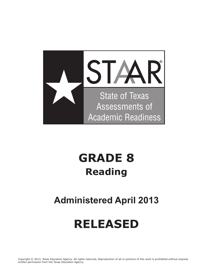

# **GRADE 8 Reading**

## **Administered April 2013**

## **RELEASED**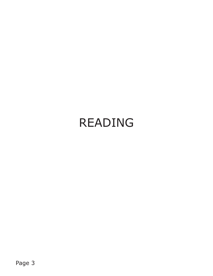# READING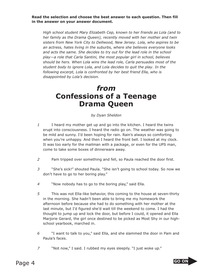**Read the selection and choose the best answer to each question. Then fill in the answer on your answer document.**

*High school student Mary Elizabeth Cep, known to her friends as Lola (and to her family as the Drama Queen), recently moved with her mother and twin sisters from New York City to Dellwood, New Jersey. Lola, who aspires to be an actress, hates living in the suburbs, where she believes everyone looks and acts the same. She decides to try out for the lead role in the school play—a role that Carla Santini, the most popular girl in school, believes should be hers. When Lola wins the lead role, Carla persuades most of the student body to ignore Lola, and Lola decides to quit the play. In the following excerpt, Lola is confronted by her best friend Ella, who is disappointed by Lola's decision.*

### *from* **Confessions of a Teenage Drama Queen**

*by Dyan Sheldon*

- *1* I heard my mother get up and go into the kitchen. I heard the twins erupt into consciousness. I heard the radio go on. The weather was going to be mild and sunny. I'd been hoping for rain. Rain's always so comforting when you're unhappy. And then I heard the front bell. I looked at my clock. It was too early for the mailman with a package, or even for the UPS man, come to take some boxes of dinnerware away.
- *2* Pam tripped over something and fell, so Paula reached the door first.
- *3* "She's sick!" shouted Paula. "She isn't going to school today. So now we don't have to go to her boring play."
- *4* "Now nobody has to go to the boring play," said Ella.
- *5* This was not Ella-like behavior, this coming to the house at seven-thirty in the morning. She hadn't been able to bring me my homework the afternoon before because she had to do something with her mother at the last minute, but I'd figured she'd wait till the weekend to come. I had the thought to jump up and lock the door, but before I could, it opened and Ella Marjorie Gerard, the girl once destined to be picked as Most Shy in our highschool yearbook, marched in.
- *6* "I want to talk to you," said Ella, and she slammed the door in Pam and Paula's faces.
- *7* "Not now," I said. I rubbed my eyes sleepily. "I just woke up."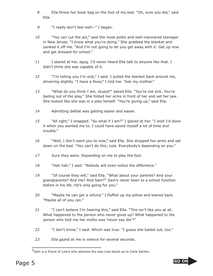- *8* Ella threw her book bag on the foot of my bed. "Oh, sure you did," said Ella.
- *9* "I really don't feel well—" I began.
- *10* "You can cut the act," said the most polite and well-mannered teenager in New Jersey. "I know what you're doing." She grabbed the blanket and yanked it off me. "And I'm not going to let you get away with it. Get up now and get dressed for school."
- *11* I stared at her, agog. I'd never heard Ella talk to anyone like that. I didn't think she was capable of it.
- *12* "I'm telling you I'm sick," I said. I pulled the blanket back around me, shivering slightly. "I have a fever," I told her. "Ask my mother."
- *13* "What do you think I am, stupid?" asked Ella. "You're not sick. You're bailing out of the play." She folded her arms in front of her and set her jaw. She looked like she was in a play herself. "You're giving up," said Ella.
- *14* Admitting defeat was getting easier and easier.
- *15* "All right," I snapped. "So what if I am?" I glared at her. "I wish I'd done it when you wanted me to. I could have saved myself a lot of time and trouble."
- *16* "Well, I don't want you to now," said Ella. She dropped her arms and sat down on the bed. "You can't do this, Lola. Everybody's depending on you."
- *17* Sure they were. Depending on me to play the fool.
- *18* "Hah hah," I said. "Nobody will even notice the difference."
- *19* "Of course they will," said Ella. "What about your parents? And your grandparents? And me? And Sam? $1$  Sam's never been to a school function before in his life. He's only going for you."
- *20* "Maybe he can get a refund." I fluffed up my pillow and leaned back. "Maybe all of you can."
- *21* "I can't believe I'm hearing this," said Ella. "This isn't like you at all. What happened to the person who never gives up? What happened to the person who told me her motto was 'never say die'?"
- *22* "I don't know," I said. Which was true. "I guess she bailed out, too."
- *23* Ella gazed at me in silence for several seconds.



 $1$ Sam is a friend of Lola's who admires the way Lola stood up to Carla Santini.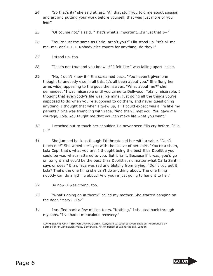- *24* "So that's it?" she said at last. "All that stuff you told me about passion and art and putting your work before yourself, that was just more of your lies?"
- *25* "Of course not," I said. "That's what's important. It's just that I—"
- *26* "You're just the same as Carla, aren't you?" Ella stood up. "It's all me, me, me, and I, I, I. Nobody else counts for anything, do they?"
- *27* I stood up, too.
- *28* "That's not true and you know it!" I felt like I was falling apart inside.
- *29* "No, I don't know it!" Ella screamed back. "You haven't given one thought to anybody else in all this. It's all been about you." She flung her arms wide, appealing to the gods themselves. "What about me?" she demanded. "I was miserable until you came to Dellwood. Totally miserable. I thought that everybody's life was like mine, just doing all the things you're supposed to do when you're supposed to do them, and never questioning anything. I thought that when I grew up, all I could expect was a life like my parents'." She was trembling with rage. "And then I met you. You gave me courage, Lola. You taught me that you can make life what you want."
- *30* I reached out to touch her shoulder. I'd never seen Ella cry before. "Ella,  $I -$ "
- *31* She jumped back as though I'd threatened her with a saber. "Don't touch me!" She wiped her eyes with the sleeve of her shirt. "You're a sham, Lola Cep; that's what you are. I thought being the best Eliza Doolittle you could be was what mattered to you. But it isn't. Because if it was, you'd go on tonight and you'd be the best Eliza Doolittle, no matter what Carla Santini says or does." Ella's face was red and blotchy from crying. "Don't you get it, Lola? That's the one thing she can't do anything about. The one thing nobody can do anything about! And you're just going to hand it to her."
- *32* By now, I was crying, too.
- *33* "What's going on in there?" called my mother. She started banging on the door. "Mary? Ella?"
- *34* I snuffed back a few million tears. "Nothing," I shouted back through my sobs. "I've had a miraculous recovery."

CONFESSIONS OF A TEENAGE DRAMA QUEEN. Copyright © 1999 by Dyan Sheldon. Reproduced by permission of Candlewick Press, Somerville, MA on behalf of Walker Books, London.

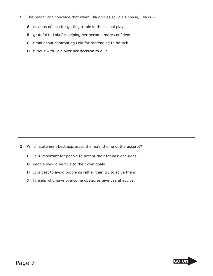- **1** The reader can conclude that when Ella arrives at Lola's house, Ella is
	- **A** envious of Lola for getting a role in the school play
	- **B** grateful to Lola for helping her become more confident
	- **C** timid about confronting Lola for pretending to be sick
	- **D** furious with Lola over her decision to quit

**2** Which statement best expresses the main theme of the excerpt?

- **F** It is important for people to accept their friends' decisions.
- **G** People should be true to their own goals.
- **H** It is best to avoid problems rather than try to solve them.
- **J** Friends who have overcome obstacles give useful advice.

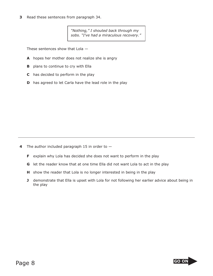**3** Read these sentences from paragraph 34.

*"Nothing," I shouted back through my sobs. "I've had a miraculous recovery."*

These sentences show that Lola —

- **A** hopes her mother does not realize she is angry
- **B** plans to continue to cry with Ella
- **C** has decided to perform in the play
- **D** has agreed to let Carla have the lead role in the play

- **4** The author included paragraph 15 in order to
	- **F** explain why Lola has decided she does not want to perform in the play
	- **G** let the reader know that at one time Ella did not want Lola to act in the play
	- **H** show the reader that Lola is no longer interested in being in the play
	- **J** demonstrate that Ella is upset with Lola for not following her earlier advice about being in the play

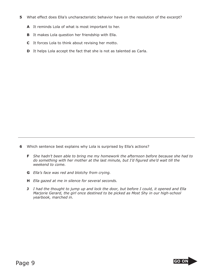- **5** What effect does Ella's uncharacteristic behavior have on the resolution of the excerpt?
	- **A** It reminds Lola of what is most important to her.
	- **B** It makes Lola question her friendship with Ella.
	- **C** It forces Lola to think about revising her motto.
	- **D** It helps Lola accept the fact that she is not as talented as Carla.

**6** Which sentence best explains why Lola is surprised by Ella's actions?

- **F** *She hadn't been able to bring me my homework the afternoon before because she had to do something with her mother at the last minute, but I'd figured she'd wait till the weekend to come.*
- **G** *Ella's face was red and blotchy from crying.*
- **H** *Ella gazed at me in silence for several seconds.*
- **J** *I had the thought to jump up and lock the door, but before I could, it opened and Ella Marjorie Gerard, the girl once destined to be picked as Most Shy in our high-school yearbook, marched in.*

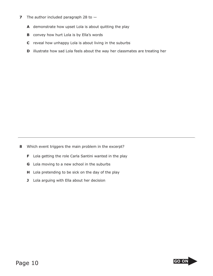- **7** The author included paragraph 28 to  $-$ 
	- **A** demonstrate how upset Lola is about quitting the play
	- **B** convey how hurt Lola is by Ella's words
	- **C** reveal how unhappy Lola is about living in the suburbs
	- **D** illustrate how sad Lola feels about the way her classmates are treating her

- **8** Which event triggers the main problem in the excerpt?
	- **F** Lola getting the role Carla Santini wanted in the play
	- **G** Lola moving to a new school in the suburbs
	- **H** Lola pretending to be sick on the day of the play
	- **J** Lola arguing with Ella about her decision

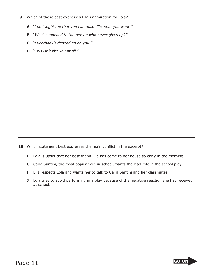- **9** Which of these best expresses Ella's admiration for Lola?
	- **A** "*You taught me that you can make life what you want."*
	- **B** "*What happened to the person who never gives up?"*
	- **C** "*Everybody's depending on you."*
	- **D** "*This isn't like you at all."*

**10** Which statement best expresses the main conflict in the excerpt?

- **F** Lola is upset that her best friend Ella has come to her house so early in the morning.
- **G** Carla Santini, the most popular girl in school, wants the lead role in the school play.
- **H** Ella respects Lola and wants her to talk to Carla Santini and her classmates.
- **J** Lola tries to avoid performing in a play because of the negative reaction she has received at school.

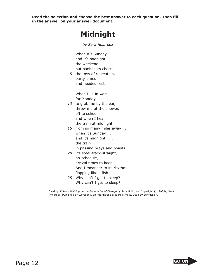**Read the selection and choose the best answer to each question. Then fill in the answer on your answer document.**

### **Midnight**

*by Sara Holbrook*

 When it's Sunday and it's midnight, the weekend put back in its chest,

*5* the toys of recreation, party times and needed rest.

> When I lie in wait for Monday

- *10* to grab me by the ear, throw me at the shower, off to school and when I hear the train at midnight
- *15* from so many miles away . . . when it's Sunday . . . and it's midnight . . . the train in passing brays and boasts
- *20* it's steel-track-straight, on schedule, arrival times to keep. And I meander to its rhythm, flopping like a fish. *25* Why can't I get to sleep?
- Why can't I get to sleep?

"Midnight" from *Walking on the Boundaries of Change* by Sara Holbrook. Copyright © 1998 by Sara Holbrook. Published by Wordsong, an imprint of Boyds Mills Press. Used by permission.

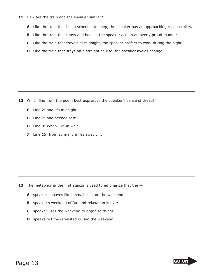- 11 How are the train and the speaker similar?
	- **A** Like the train that has a schedule to keep, the speaker has an approaching responsibility.
	- **B** Like the train that brays and boasts, the speaker acts in an overly proud manner.
	- **C** Like the train that travels at midnight, the speaker prefers to work during the night.
	- **D** Like the train that stays on a straight course, the speaker avoids change.

- **12** Which line from the poem best expresses the speaker's sense of dread?
	- **F** Line 2: and it's midnight,
	- **G** Line 7: and needed rest.
	- **H** Line 8: When I lie in wait
	- **J** Line 15: from so many miles away . . .

- **13** The metaphor in the first stanza is used to emphasize that the  $-$ 
	- **A** speaker behaves like a small child on the weekend
	- **B** speaker's weekend of fun and relaxation is over
	- **C** speaker uses the weekend to organize things
	- **D** speaker's time is wasted during the weekend

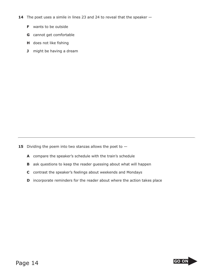- **14** The poet uses a simile in lines 23 and 24 to reveal that the speaker  $-$ 
	- **F** wants to be outside
	- **G** cannot get comfortable
	- **H** does not like fishing
	- **J** might be having a dream

**15** Dividing the poem into two stanzas allows the poet to  $-$ 

- **A** compare the speaker's schedule with the train's schedule
- **B** ask questions to keep the reader guessing about what will happen
- **C** contrast the speaker's feelings about weekends and Mondays
- **D** incorporate reminders for the reader about where the action takes place

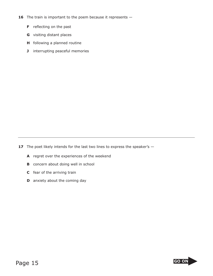- **16** The train is important to the poem because it represents -
	- **F** reflecting on the past
	- **G** visiting distant places
	- **H** following a planned routine
	- **J** interrupting peaceful memories

**17** The poet likely intends for the last two lines to express the speaker's  $-$ 

- **A** regret over the experiences of the weekend
- **B** concern about doing well in school
- **C** fear of the arriving train
- **D** anxiety about the coming day

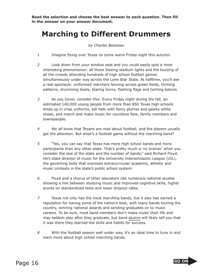**Read the selection and choose the best answer to each question. Then fill in the answer on your answer document.**

### **Marching to Different Drummers**

#### *by Charles Boisseau*

- *1* Imagine flying over Texas on some warm Friday night this autumn.
- *2* Look down from your window seat and you could easily spot a most interesting phenomenon: all those blazing stadium lights and the buzzing of all the crowds attending hundreds of high school football games simultaneously under way across the Lone Star State. At halftime, you'll see a real spectacle: uniformed marchers fanning across green fields, forming patterns, drumming beats, blaring horns, flashing flags and twirling batons.
- *3* As you hover, consider this: Every Friday night during the fall, an estimated 140,000 young people from more than 850 Texas high schools dress up in crisp uniforms, tall hats with fancy plumes and gawky white shoes, and march and make music for countless fans, family members and townspeople.
- *4* We all know that Texans are mad about football, and the players usually get the attention. But what's a football game without the marching band?
- *5* "Yes, you can say that Texas has more high school bands and more participants than any other state. That's pretty much a 'no brainer' when you consider the size of the state and the number of bands," said Richard Floyd. He's state director of music for the University Interscholastic League (UIL), the governing body that oversees extracurricular academic, athletic and music contests in the state's public school system.
- *6* Floyd and a chorus of other educators cite numerous national studies showing a link between studying music and improved cognitive skills, higher scores on standardized tests and lower dropout rates.
- *7* Texas not only has the most marching bands, but it also has earned a reputation for having some of the nation's best, with many bands touring the country, winning national awards and sending graduates on to music careers. To be sure, most band members don't make music their life and may seldom play after they graduate, but band alumni will likely tell you that it was there they learned the skills and habits for success.
- *8* With the football season well under way, it's an ideal time to tune in and learn more about high school marching bands.

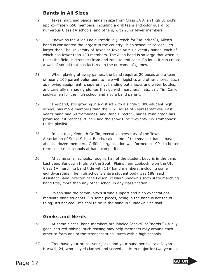### **Bands in All Sizes**

- *9* Texas marching bands range in size from Class 5A Allen High School's approximately 650 members, including a drill team and color guard, to numerous Class 1A schools, and others, with 20 or fewer members.
- *10* Known as the Allen Eagle Escadrille (French for "squadron"), Allen's band is considered the largest in the country—high school or college. It's larger than The University of Texas or Texas A&M University bands, each of which has fewer than 400 members. The Allen band is so large that when it takes the field, it stretches from end zone to end zone. So loud, it can create a wall of sound that has factored in the outcome of games.
- *11* When playing at away games, the band requires 20 buses and a team of nearly 100 parent volunteers to help with logistics and other chores, such as moving equipment, chaperoning, handing out snacks and water bottles, and carefully managing plumes that go with marchers' hats, said Tim Carroll, spokesman for the high school and also a band parent.
- *12* The band, still growing in a district with a single 5,000-student high school, has more members than the U.S. House of Representatives. Last year's band had 59 trombones, and Band Director Charles Pennington has promised if it reaches 76 he'll add the show tune "Seventy-Six Trombones" to the playlist.
- *13* In contrast, Kenneth Griffin, executive secretary of the Texas Association of Small School Bands, said some of the smallest bands have about a dozen members. Griffin's organization was formed in 1991 to better represent small schools at band competitions.
- *14* At some small schools, roughly half of the student body is in the band. Last year, Sundown High, on the South Plains near Lubbock, won the UIL Class 1A marching band title with 117 band members, including some eighth-graders. The high school's entire student body was 188, said Assistant Band Director Zane Polson. It was Sundown's sixth state marching band title, more than any other school in any classification.
- *15* Polson said the community's strong support and high expectations motivate band students. "In some places, being in the band is not the *in* thing; it's not cool. It's cool to be in the band in Sundown," he said.

#### **Geeks and Nerds**

- *16* At some places, band members are labeled "geeks" or "nerds." Usually good-natured ribbing, such teasing may help members rally around each other to form one of the strongest subcultures within high schools.
- *17* "You have your preps, your jocks and your band nerds," said Jolynn Harwell, 24, who played clarinet and served as drum major for two years at

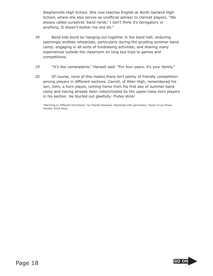Stephenville High School. She now teaches English at North Garland High School, where she also serves as unofficial adviser to clarinet players. "We always called ourselves 'band nerds.' I don't think it's derogatory or anything. It doesn't bother me one bit."

- *18* Band kids bond by hanging out together in the band hall; enduring seemingly endless rehearsals, particularly during the grueling summer band camp; engaging in all sorts of fundraising activities; and sharing many experiences outside the classroom on long bus trips to games and competitions.
- *19* "It's like camaraderie," Harwell said. "For four years, it's your family."
- *20* Of course, none of this means there isn't plenty of friendly competition among players in different sections. Carroll, of Allen High, remembered his son, John, a horn player, coming home from his first day of summer band camp and having already been indoctrinated by the upper-class horn players in his section. He blurted out gleefully: Flutes stink!

"Marching to Different Drummers," by Charles Boisseau. Reprinted with permission, *Texas Co-op Power*, October 2010 issue.

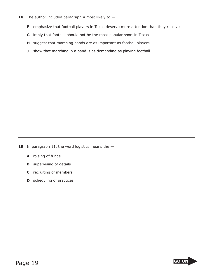- 18 The author included paragraph 4 most likely to  $-$ 
	- **F** emphasize that football players in Texas deserve more attention than they receive
	- **G** imply that football should not be the most popular sport in Texas
	- **H** suggest that marching bands are as important as football players
	- **J** show that marching in a band is as demanding as playing football

**19** In paragraph 11, the word logistics means the  $-$ 

- **A** raising of funds
- **B** supervising of details
- **C** recruiting of members
- **D** scheduling of practices



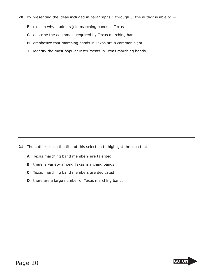- **20** By presenting the ideas included in paragraphs 1 through 3, the author is able to
	- **F** explain why students join marching bands in Texas
	- **G** describe the equipment required by Texas marching bands
	- **H** emphasize that marching bands in Texas are a common sight
	- **J** identify the most popular instruments in Texas marching bands

**21** The author chose the title of this selection to highlight the idea that —

- **A** Texas marching band members are talented
- **B** there is variety among Texas marching bands
- **C** Texas marching band members are dedicated
- **D** there are a large number of Texas marching bands

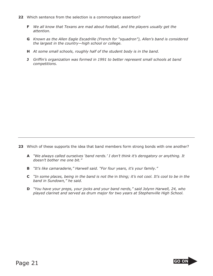- **22** Which sentence from the selection is a commonplace assertion?
	- **F** *We all know that Texans are mad about football, and the players usually get the attention.*
	- **G** *Known as the Allen Eagle Escadrille (French for "squadron"), Allen's band is considered the largest in the country—high school or college.*
	- **H** *At some small schools, roughly half of the student body is in the band.*
	- **J** *Griffin's organization was formed in 1991 to better represent small schools at band competitions.*

- **23** Which of these supports the idea that band members form strong bonds with one another?
	- **A** *"We always called ourselves 'band nerds.' I don't think it's derogatory or anything. It doesn't bother me one bit."*
	- **B** *"It's like camaraderie," Harwell said. "For four years, it's your family."*
	- **C** *"In some places, being in the band is not the* in *thing; it's not cool. It's cool to be in the band in Sundown," he said.*
	- **D** *"You have your preps, your jocks and your band nerds," said Jolynn Harwell, 24, who played clarinet and served as drum major for two years at Stephenville High School.*

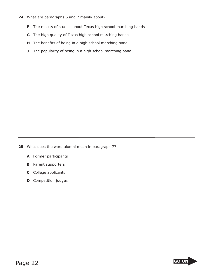#### **24** What are paragraphs 6 and 7 mainly about?

- **F** The results of studies about Texas high school marching bands
- **G** The high quality of Texas high school marching bands
- **H** The benefits of being in a high school marching band
- **J** The popularity of being in a high school marching band

**25** What does the word alumni mean in paragraph 7?

- **A** Former participants
- **B** Parent supporters
- **C** College applicants
- **D** Competition judges



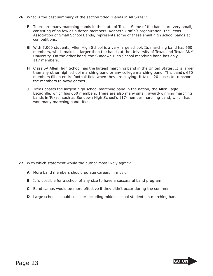#### **26** What is the best summary of the section titled "Bands in All Sizes"?

- **F** There are many marching bands in the state of Texas. Some of the bands are very small, consisting of as few as a dozen members. Kenneth Griffin's organization, the Texas Association of Small School Bands, represents some of these small high school bands at competitions.
- **G** With 5,000 students, Allen High School is a very large school. Its marching band has 650 members, which makes it larger than the bands at the University of Texas and Texas A&M University. On the other hand, the Sundown High School marching band has only 117 members.
- **H** Class 5A Allen High School has the largest marching band in the United States. It is larger than any other high school marching band or any college marching band. This band's 650 members fill an entire football field when they are playing. It takes 20 buses to transport the members to away games.
- **J** Texas boasts the largest high school marching band in the nation, the Allen Eagle Escadrille, which has 650 members. There are also many small, award-winning marching bands in Texas, such as Sundown High School's 117-member marching band, which has won many marching band titles.

- **27** With which statement would the author most likely agree?
	- **A** More band members should pursue careers in music.
	- **B** It is possible for a school of any size to have a successful band program.
	- **C** Band camps would be more effective if they didn't occur during the summer.
	- **D** Large schools should consider including middle school students in marching band.

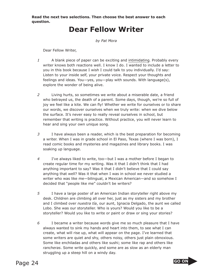**Read the next two selections. Then choose the best answer to each question.**

### **Dear Fellow Writer**

*by Pat Mora*

Dear Fellow Writer,

- *1* A blank piece of paper can be exciting and intimidating. Probably every writer knows both reactions well. I know I do. I wanted to include a letter to you in this book because I wish I could talk to you individually. I'd say: Listen to your inside self, your private voice. Respect your thoughts and feelings and ideas. You—yes, you—play with sounds. With language(s), explore the wonder of being alive.
- *2* Living hurts, so sometimes we write about a miserable date, a friend who betrayed us, the death of a parent. Some days, though, we're so full of joy we feel like a kite. We can fly! Whether we write for ourselves or to share our words, we discover ourselves when we truly write: when we dive below the surface. It's never easy to really reveal ourselves in school, but remember that writing is practice. Without practice, you will never learn to hear and sing your own unique song.
- *3* I have always been a reader, which is the best preparation for becoming a writer. When I was in grade school in El Paso, Texas (where I was born), I read comic books and mysteries and magazines and library books. I was soaking up language.
- *4* I've always liked to write, too—but I was a mother before I began to create regular time for my writing. Was it that I didn't think that I had anything important to say? Was it that I didn't believe that I could say anything that well? Was it that when I was in school we never studied a writer who was like me—bilingual, a Mexican American—and so somehow I decided that "people like me" couldn't be writers?
- *5* I have a large poster of an American Indian storyteller right above my desk. Children are climbing all over her, just as my sisters and my brother and I climbed over *nuestra tía*, our aunt, Ignacia Delgado, the aunt we called Lobo. She was our storyteller. Who is yours? Would you like to be a storyteller? Would you like to write or paint or draw or sing your stories?
- *6* I became a writer because words give me so much pleasure that I have always wanted to sink my hands and heart into them, to see what I can create, what will rise up, what will appear on the page. I've learned that some writers are quiet and shy, others noisy, others just plain obnoxious. Some like enchiladas and others like sushi; some like rap and others like *rancheras*. Some write quickly, and some are as slow as an elderly man struggling up a steep hill on a windy day.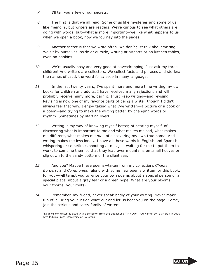- *7* I'll tell you a few of our secrets.
- *8* The first is that we all read. Some of us like mysteries and some of us like memoirs, but writers are readers. We're curious to see what others are doing with words, but—what is more important—we like what happens to us when we open a book, how we journey into the pages.
- *9* Another secret is that we write often. We don't just talk about writing. We sit by ourselves inside or outside, writing at airports or on kitchen tables, even on napkins.
- *10* We're usually nosy and very good at eavesdropping. Just ask my three children! And writers are collectors. We collect facts and phrases and stories: the names of cacti, the word for *cheese* in many languages.
- *11* In the last twenty years, I've spent more and more time writing my own books for children and adults. I have received many rejections and will probably receive many more, darn it. I just keep writing—and revising. Revising is now one of my favorite parts of being a writer, though I didn't always feel that way. I enjoy taking what I've written—a picture or a book or a poem—and trying to make the writing better, by changing words or rhythm. Sometimes by starting over!
- *12* Writing is my way of knowing myself better, of hearing myself, of discovering what is important to me and what makes me sad, what makes me different, what makes me *me*—of discovering my own true name. And writing makes me less lonely. I have all these words in English and Spanish whispering or sometimes shouting at me, just waiting for me to put them to work, to combine them so that they leap over mountains on small hooves or slip down to the sandy bottom of the silent sea.
- *13* And you? Maybe these poems—taken from my collections *Chants*, *Borders*, and *Communion*, along with some new poems written for this book, for you—will tempt you to write your own poems about a special person or a special place, about a gray fear or a green hope. What are your blooms, your thorns, your roots?
- *14* Remember, my friend, never speak badly of your writing. Never make fun of it. Bring your inside voice out and let us hear you on the page. Come, join the serious and sassy family of writers.

"Dear Fellow Writer" is used with permission from the publisher of "My Own True Name" by Pat Mora (© 2000 Arte Público Press–University of Houston)

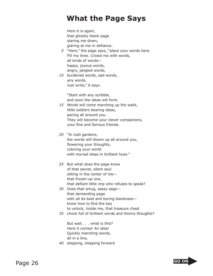### **What the Page Says**

 Here it is again, that ghostly blank page staring me down, glaring at me in defiance.

*5* "Here," the page says, "place your words *here*. Fill my lines. Crowd me with words, all kinds of words happy, joyous words, angry, jangled words,

*10* burdened words, sad words, any words. Just write," it says.

> "Start with any scribble, and soon the ideas will form.

- *15* Words will come marching up the walls, little soldiers bearing ideas, pacing all around you. They will become your clever companions, your fine and famous friends.
- *20* "In lush gardens, the words will bloom up all around you, flowering your thoughts, coloring your world with myriad ideas in brilliant hues."
- *25* But what does the page know of that secret, silent soul sitting in the center of me that frozen-up one, that defiant little imp who refuses to speak?
- *30* Does that smug, sassy sage that demanding page with all its bald and boring blankness know how to find the key to unlock, inside me, that treasure chest
- *35* chock full of brilliant words and thorny thoughts?

But wait . . . what is this? Here it comes! An idea! Quickly marching words, all in a line,

*40* stepping, stepping forward

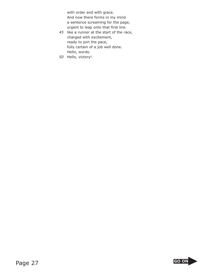with order and with grace. And now there forms in my mind a sentence screaming for the page, urgent to leap onto that first line

- *45* like a runner at the start of the race, charged with excitement, ready to join the pace, fully certain of a job well done. Hello, words.
- *50* Hello, victory!

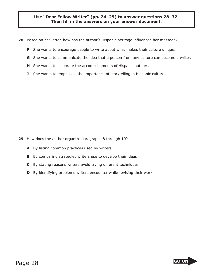#### **Use "Dear Fellow Writer" (pp. 24–25) to answer questions 28–32. Then fill in the answers on your answer document.**

- **28** Based on her letter, how has the author's Hispanic heritage influenced her message?
	- **F** She wants to encourage people to write about what makes their culture unique.
	- **G** She wants to communicate the idea that a person from any culture can become a writer.
	- **H** She wants to celebrate the accomplishments of Hispanic authors.
	- **J** She wants to emphasize the importance of storytelling in Hispanic culture.

**29** How does the author organize paragraphs 8 through 10?

- **A** By listing common practices used by writers
- **B** By comparing strategies writers use to develop their ideas
- **C** By stating reasons writers avoid trying different techniques
- **D** By identifying problems writers encounter while revising their work

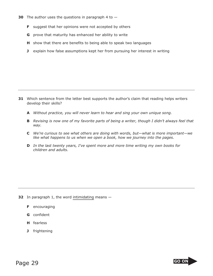- **30** The author uses the questions in paragraph 4 to
	- **F** suggest that her opinions were not accepted by others
	- **G** prove that maturity has enhanced her ability to write
	- **H** show that there are benefits to being able to speak two languages
	- **J** explain how false assumptions kept her from pursuing her interest in writing

- **31** Which sentence from the letter best supports the author's claim that reading helps writers develop their skills?
	- **A** *Without practice, you will never learn to hear and sing your own unique song.*
	- **B** *Revising is now one of my favorite parts of being a writer, though I didn't always feel that way.*
	- **C** *We're curious to see what others are doing with words, but—what is more important—we like what happens to us when we open a book, how we journey into the pages.*
	- **D** *In the last twenty years, I've spent more and more time writing my own books for children and adults.*

- **32** In paragraph 1, the word intimidating means
	- **F** encouraging
	- **G** confident
	- **H** fearless
	- **J** frightening

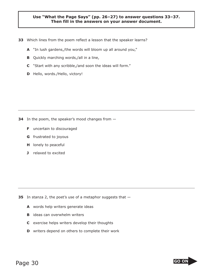#### **Use "What the Page Says" (pp. 26–27) to answer questions 33–37. Then fill in the answers on your answer document.**

- **33** Which lines from the poem reflect a lesson that the speaker learns?
	- **A** "In lush gardens,/the words will bloom up all around you,"
	- **B** Quickly marching words,/all in a line,
	- **C** "Start with any scribble,/and soon the ideas will form."
	- **D** Hello, words./Hello, victory!

- **34** In the poem, the speaker's mood changes from
	- **F** uncertain to discouraged
	- **G** frustrated to joyous
	- **H** lonely to peaceful
	- **J** relaxed to excited

- **35** In stanza 2, the poet's use of a metaphor suggests that
	- **A** words help writers generate ideas
	- **B** ideas can overwhelm writers
	- **C** exercise helps writers develop their thoughts
	- **D** writers depend on others to complete their work

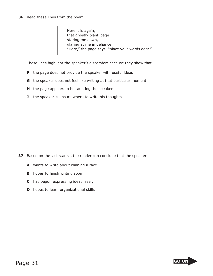Here it is again, that ghostly blank page staring me down, glaring at me in defiance. "Here," the page says, "place your words *here*."

These lines highlight the speaker's discomfort because they show that —

- **F** the page does not provide the speaker with useful ideas
- **G** the speaker does not feel like writing at that particular moment
- **H** the page appears to be taunting the speaker
- **J** the speaker is unsure where to write his thoughts

- **37** Based on the last stanza, the reader can conclude that the speaker -
	- **A** wants to write about winning a race
	- **B** hopes to finish writing soon
	- **C** has begun expressing ideas freely
	- **D** hopes to learn organizational skills



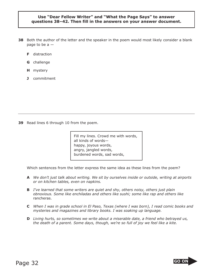#### **Use "Dear Fellow Writer" and "What the Page Says" to answer questions 38–42. Then fill in the answers on your answer document.**

- **38** Both the author of the letter and the speaker in the poem would most likely consider a blank page to be a —
	- **F** distraction
	- **G** challenge
	- **H** mystery
	- **J** commitment

**39** Read lines 6 through 10 from the poem.

Fill my lines. Crowd me with words, all kinds of words happy, joyous words, angry, jangled words, burdened words, sad words,

Which sentences from the letter express the same idea as these lines from the poem?

- **A** *We don't just talk about writing. We sit by ourselves inside or outside, writing at airports or on kitchen tables, even on napkins.*
- **B** *I've learned that some writers are quiet and shy, others noisy, others just plain obnoxious. Some like enchiladas and others like sushi; some like rap and others like* rancheras.
- **C** *When I was in grade school in El Paso, Texas (where I was born), I read comic books and mysteries and magazines and library books. I was soaking up language.*
- **D** *Living hurts, so sometimes we write about a miserable date, a friend who betrayed us, the death of a parent. Some days, though, we're so full of joy we feel like a kite.*

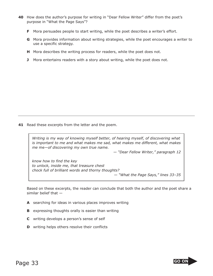- **40** How does the author's purpose for writing in "Dear Fellow Writer" differ from the poet's purpose in "What the Page Says"?
	- **F** Mora persuades people to start writing, while the poet describes a writer's effort.
	- **G** Mora provides information about writing strategies, while the poet encourages a writer to use a specific strategy.
	- **H** Mora describes the writing process for readers, while the poet does not.
	- **J** Mora entertains readers with a story about writing, while the poet does not.

**41** Read these excerpts from the letter and the poem.



Based on these excerpts, the reader can conclude that both the author and the poet share a similar belief that —

- **A** searching for ideas in various places improves writing
- **B** expressing thoughts orally is easier than writing
- **C** writing develops a person's sense of self
- **D** writing helps others resolve their conflicts

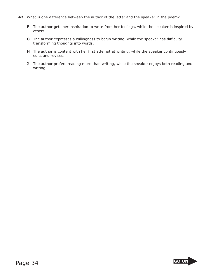- **42** What is one difference between the author of the letter and the speaker in the poem?
	- **F** The author gets her inspiration to write from her feelings, while the speaker is inspired by others.
	- **G** The author expresses a willingness to begin writing, while the speaker has difficulty transforming thoughts into words.
	- **H** The author is content with her first attempt at writing, while the speaker continuously edits and revises.
	- **J** The author prefers reading more than writing, while the speaker enjoys both reading and writing.

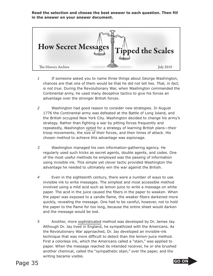**Read the selection and choose the best answer to each question. Then fill in the answer on your answer document.**



- *,* chances are that one of them would be that he did not tell lies. *That, in fact* is not true. During the Revolutionary War, when Washington commanded the *1* If someone asked you to name three things about George Washington, Continental army, he used many deceptive tactics to give his forces an advantage over the stronger British forces.
- the British occupied New York City. Washington decided to change his army's *2* Washington had good reason to consider new strategies. In August 1776 the Continental army was defeated at the Battle of Long Island, and strategy. Rather than fighting a war by pitting forces frequently and repeatedly, Washington opted for a strategy of learning British plans—their troop movements, the size of their forces, and their times of attack. His chosen method to achieve this advantage was espionage.
- *3* Washington managed his own information-gathering agency. He regularly used such tricks as secret agents, double agents, and codes. One of the most useful methods he employed was the passing of information using invisible ink. This simple yet clever tactic provided Washington the advantage he needed to ultimately win the war against the British.
- *4* Even in the eighteenth century, there were a number of ways to use invisible ink to write messages. The simplest and most accessible method involved using a mild acid such as lemon juice to write a message on white paper. The acid in the juice caused the fibers in the paper to weaken. When the paper was exposed to a candle flame, the weaker fibers darkened more quickly, revealing the message. One had to be careful, however, not to hold the paper to the flame for too long, because the entire sheet would darken and the message would be lost.
- *5* Another, more sophisticated method was developed by Dr. James Jay. Although Dr. Jay lived in England, he sympathized with the Americans. As the Revolutionary War approached, Dr. Jay developed an invisible-ink technique that was more difficult to detect than the lemon-juice method. First a colorless ink, which the Americans called a "stain," was applied to paper. When the message reached its intended receiver, he or she brushed another chemical, called the "sympathetic stain," over the paper, and the writing became visible.

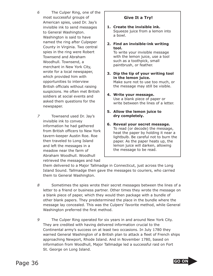*6* The Culper Ring, one of the most successful groups of **Give It a Try!** American spies, used Dr. Jay's invisible ink to send messages **1. Create the invisible ink.** Washington is said to have named the ring after Culpeper **2. Find an invisible-ink writing**<br>County in Virginia. Two central **tool.**<br>spies in the ring were Robert To write your invisible message Townsend and Abraham  $\begin{array}{c} \text{Weyl} \\ \text{Weyl} \\ \text{Weyl} \\ \text{Weyl} \\ \text{Weyl} \\ \text{Weyl} \\ \text{Weyl} \\ \text{Weyl} \\ \text{Weyl} \\ \text{Weyl} \\ \text{Weyl} \\ \text{Weyl} \\ \text{Weyl} \\ \text{Weyl} \\ \text{Weyl} \\ \text{Weyl} \\ \text{Weyl} \\ \text{Weyl} \\ \text{Weyl} \\ \text{Weyl} \\ \text{Weyl} \\ \text{Weyl} \\ \text{Weyl} \\ \text{Weyl} \\$ Woodhull. Townsend, a such as a toothpick, sn<br>morchant in Now York City saintbrush, or feather. merchant in New York City, suspicions. He often met British soldiers at social events and **4. Write your message.**<br>asked them questions for the **Exercise 1** Use a blank piece of paper or write between the lines of a letter. newspaper.

*7* Townsend used Dr. Jay's **dry completely.** meadow near the farm of  $\qquad \qquad$  the message to be read. Abraham Woodhull. Woodhull retrieved the messages and had

- to General Washington.<br>Washington is eaid to have a bowl.
	-

To write your invisible message

wrote for a local newspaper,<br>
which provided him with **in the lemon juice.**<br>
opportunities to interview Make sure not to use too much, or Make sure not to use too much, or

British officials without raising  $\parallel$  the message may still be visible.

## **5. Allow the lemon juice to**

information he had gathered<br>
from British officers to New York<br>
tavern-keeper Austin Roe. Roe lightbulb. Be careful not to burn the then traveled to Long Island  $\vert$  paper. As the paper heats up, the and left the messages in a  $\vert$  lemon juice will darken, allowing

them delivered to a Major Tallmadge in Connecticut, just across the Long Island Sound. Tallmadge then gave the messages to couriers, who carried them to General Washington.

- *8* Sometimes the spies wrote their secret messages between the lines of a letter to a friend or business partner. Other times they wrote the message on a blank piece of paper, which they would then package with a bundle of other blank papers. They predetermined the place in the bundle where the message lay concealed. This was the Culpers' favorite method, while General Washington preferred the first method.
- *9* The Culper Ring operated for six years in and around New York City. They are credited with having delivered information crucial to the Continental army's success on at least two occasions. In July 1780 they warned General Washington of a British plan to attack a fleet of French ships approaching Newport, Rhode Island. And in November 1780, based on information from Woodhull, Major Tallmadge led a successful raid on Fort St. George on Long Island.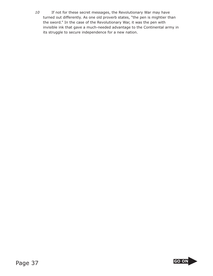*10* If not for these secret messages, the Revolutionary War may have turned out differently. As one old proverb states, "the pen is mightier than the sword." In the case of the Revolutionary War, it was the pen with invisible ink that gave a much-needed advantage to the Continental army in its struggle to secure independence for a new nation.

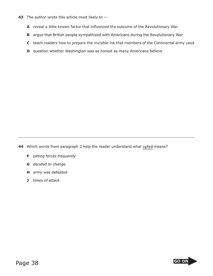- **43** The author wrote this article most likely to
	- **A** reveal a little-known factor that influenced the outcome of the Revolutionary War
	- **B** argue that British people sympathized with Americans during the Revolutionary War
	- **C** teach readers how to prepare the invisible ink that members of the Continental army used
	- **D** question whether Washington was as honest as many Americans believe

**44** Which words from paragraph 2 help the reader understand what opted means?

- **F** *pitting forces frequently*
- **G** *decided to change*
- **H** *army was defeated*
- **J** *times of attack*



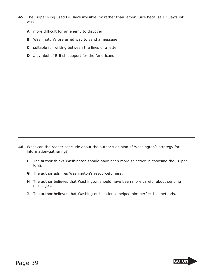- **45** The Culper Ring used Dr. Jay's invisible ink rather than lemon juice because Dr. Jay's ink was —
	- **A** more difficult for an enemy to discover
	- **B** Washington's preferred way to send a message
	- **C** suitable for writing between the lines of a letter
	- **D** a symbol of British support for the Americans

**46** What can the reader conclude about the author's opinion of Washington's strategy for information-gathering?

- **F** The author thinks Washington should have been more selective in choosing the Culper Ring.
- **G** The author admires Washington's resourcefulness.
- **H** The author believes that Washington should have been more careful about sending messages.
- **J** The author believes that Washington's patience helped him perfect his methods.

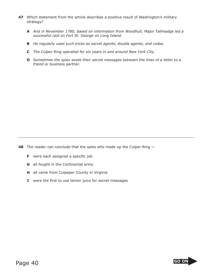- **47** Which statement from the article describes a positive result of Washington's military strategy?
	- **A** *And in November 1780, based on information from Woodhull, Major Tallmadge led a successful raid on Fort St. George on Long Island.*
	- **B** *He regularly used such tricks as secret agents, double agents, and codes.*
	- **C** *The Culper Ring operated for six years in and around New York City.*
	- **D** *Sometimes the spies wrote their secret messages between the lines of a letter to a friend or business partner.*

**48** The reader can conclude that the spies who made up the Culper Ring —

- **F** were each assigned a specific job
- **G** all fought in the Continental army
- **H** all came from Culpeper County in Virginia
- **J** were the first to use lemon juice for secret messages

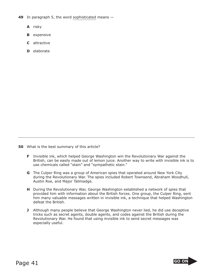- **49** In paragraph 5, the word sophisticated means
	- **A** risky
	- **B** expensive
	- **C** attractive
	- **D** elaborate

**50** What is the best summary of this article?

- **F** Invisible ink, which helped George Washington win the Revolutionary War against the British, can be easily made out of lemon juice. Another way to write with invisible ink is t ouse chemicals called "stain" and "sympathetic stain."
- **G** The Culper Ring was a group of American spies that operated around New York City during the Revolutionary War. The spies included Robert Townsend, Abraham Woodhull, Austin Roe, and Major Tallmadge.
- **H** During the Revolutionary War, George Washington established a network of spies that provided him with information about the British forces. One group, the Culper Ring, sent him many valuable messages written in invisible ink, a technique that helped Washington defeat the British.
- **J** Although many people believe that George Washington never lied, he did use deceptive tricks such as secret agents, double agents, and codes against the British during the Revolutionary War. He found that using invisible ink to send secret messages was especially useful.

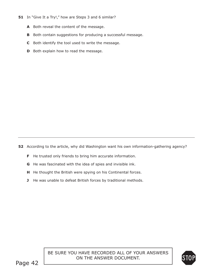- **51** In "Give It a Try!," how are Steps 3 and 6 similar?
	- **A** Both reveal the content of the message.
	- **B** Both contain suggestions for producing a successful message.
	- **C** Both identify the tool used to write the message.
	- **D** Both explain how to read the message.

**52** According to the article, why did Washington want his own information-gathering agency?

- **F** He trusted only friends to bring him accurate information.
- **G** He was fascinated with the idea of spies and invisible ink.
- **H** He thought the British were spying on his Continental forces.
- **J** He was unable to defeat British forces by traditional methods.

BE SURE YOU HAVE RECORDED ALL OF YOUR ANSWERS ON THE ANSWER DOCUMENT.